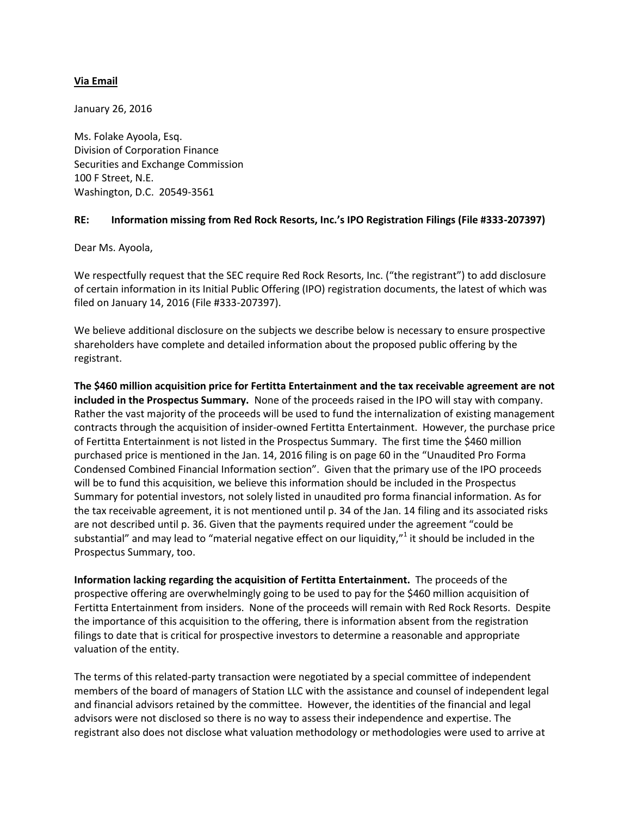## **Via Email**

January 26, 2016

Ms. Folake Ayoola, Esq. Division of Corporation Finance Securities and Exchange Commission 100 F Street, N.E. Washington, D.C. 20549-3561

## **RE: Information missing from Red Rock Resorts, Inc.'s IPO Registration Filings (File #333-207397)**

Dear Ms. Ayoola,

We respectfully request that the SEC require Red Rock Resorts, Inc. ("the registrant") to add disclosure of certain information in its Initial Public Offering (IPO) registration documents, the latest of which was filed on January 14, 2016 (File #333-207397).

We believe additional disclosure on the subjects we describe below is necessary to ensure prospective shareholders have complete and detailed information about the proposed public offering by the registrant.

**The \$460 million acquisition price for Fertitta Entertainment and the tax receivable agreement are not included in the Prospectus Summary.** None of the proceeds raised in the IPO will stay with company. Rather the vast majority of the proceeds will be used to fund the internalization of existing management contracts through the acquisition of insider-owned Fertitta Entertainment. However, the purchase price of Fertitta Entertainment is not listed in the Prospectus Summary. The first time the \$460 million purchased price is mentioned in the Jan. 14, 2016 filing is on page 60 in the "Unaudited Pro Forma Condensed Combined Financial Information section". Given that the primary use of the IPO proceeds will be to fund this acquisition, we believe this information should be included in the Prospectus Summary for potential investors, not solely listed in unaudited pro forma financial information. As for the tax receivable agreement, it is not mentioned until p. 34 of the Jan. 14 filing and its associated risks are not described until p. 36. Given that the payments required under the agreement "could be substantial" and may lead to "material negative effect on our liquidity,"<sup>1</sup> it should be included in the Prospectus Summary, too.

**Information lacking regarding the acquisition of Fertitta Entertainment.** The proceeds of the prospective offering are overwhelmingly going to be used to pay for the \$460 million acquisition of Fertitta Entertainment from insiders. None of the proceeds will remain with Red Rock Resorts. Despite the importance of this acquisition to the offering, there is information absent from the registration filings to date that is critical for prospective investors to determine a reasonable and appropriate valuation of the entity.

The terms of this related-party transaction were negotiated by a special committee of independent members of the board of managers of Station LLC with the assistance and counsel of independent legal and financial advisors retained by the committee. However, the identities of the financial and legal advisors were not disclosed so there is no way to assess their independence and expertise. The registrant also does not disclose what valuation methodology or methodologies were used to arrive at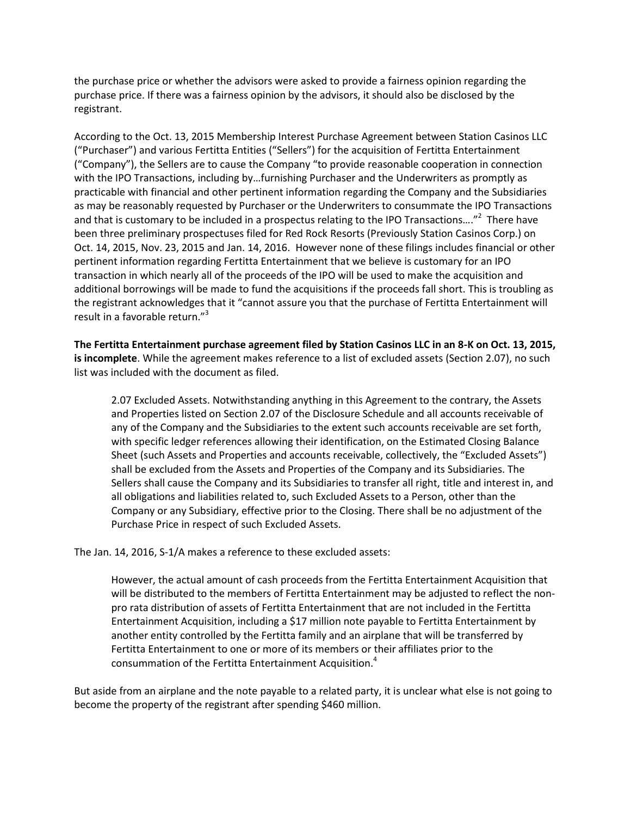the purchase price or whether the advisors were asked to provide a fairness opinion regarding the purchase price. If there was a fairness opinion by the advisors, it should also be disclosed by the registrant.

According to the Oct. 13, 2015 Membership Interest Purchase Agreement between Station Casinos LLC ("Purchaser") and various Fertitta Entities ("Sellers") for the acquisition of Fertitta Entertainment ("Company"), the Sellers are to cause the Company "to provide reasonable cooperation in connection with the IPO Transactions, including by…furnishing Purchaser and the Underwriters as promptly as practicable with financial and other pertinent information regarding the Company and the Subsidiaries as may be reasonably requested by Purchaser or the Underwriters to consummate the IPO Transactions and that is customary to be included in a prospectus relating to the IPO Transactions...."<sup>2</sup> There have been three preliminary prospectuses filed for Red Rock Resorts (Previously Station Casinos Corp.) on Oct. 14, 2015, Nov. 23, 2015 and Jan. 14, 2016. However none of these filings includes financial or other pertinent information regarding Fertitta Entertainment that we believe is customary for an IPO transaction in which nearly all of the proceeds of the IPO will be used to make the acquisition and additional borrowings will be made to fund the acquisitions if the proceeds fall short. This is troubling as the registrant acknowledges that it "cannot assure you that the purchase of Fertitta Entertainment will result in a favorable return."<sup>3</sup>

**The Fertitta Entertainment purchase agreement filed by Station Casinos LLC in an 8-K on Oct. 13, 2015, is incomplete**. While the agreement makes reference to a list of excluded assets (Section 2.07), no such list was included with the document as filed.

2.07 Excluded Assets. Notwithstanding anything in this Agreement to the contrary, the Assets and Properties listed on Section 2.07 of the Disclosure Schedule and all accounts receivable of any of the Company and the Subsidiaries to the extent such accounts receivable are set forth, with specific ledger references allowing their identification, on the Estimated Closing Balance Sheet (such Assets and Properties and accounts receivable, collectively, the "Excluded Assets") shall be excluded from the Assets and Properties of the Company and its Subsidiaries. The Sellers shall cause the Company and its Subsidiaries to transfer all right, title and interest in, and all obligations and liabilities related to, such Excluded Assets to a Person, other than the Company or any Subsidiary, effective prior to the Closing. There shall be no adjustment of the Purchase Price in respect of such Excluded Assets.

The Jan. 14, 2016, S-1/A makes a reference to these excluded assets:

However, the actual amount of cash proceeds from the Fertitta Entertainment Acquisition that will be distributed to the members of Fertitta Entertainment may be adjusted to reflect the nonpro rata distribution of assets of Fertitta Entertainment that are not included in the Fertitta Entertainment Acquisition, including a \$17 million note payable to Fertitta Entertainment by another entity controlled by the Fertitta family and an airplane that will be transferred by Fertitta Entertainment to one or more of its members or their affiliates prior to the consummation of the Fertitta Entertainment Acquisition.<sup>4</sup>

But aside from an airplane and the note payable to a related party, it is unclear what else is not going to become the property of the registrant after spending \$460 million.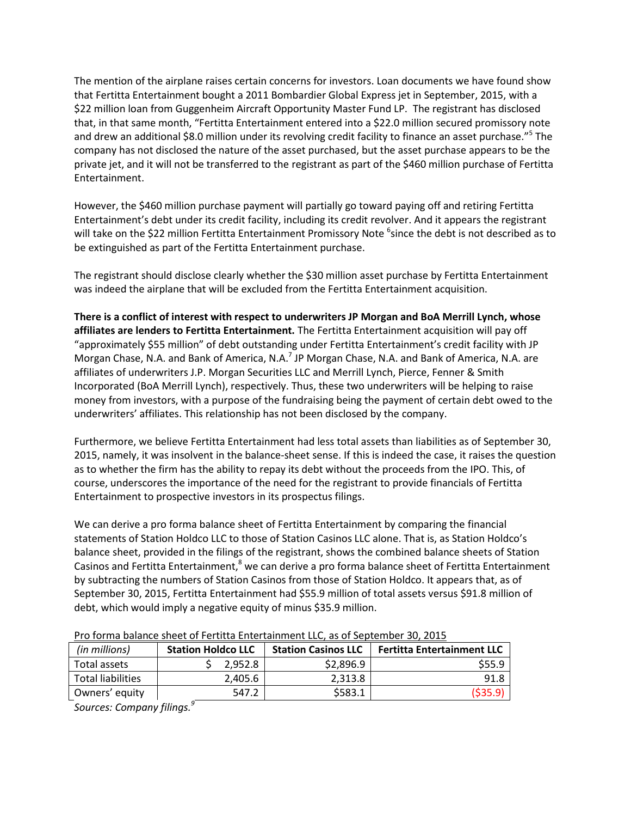The mention of the airplane raises certain concerns for investors. Loan documents we have found show that Fertitta Entertainment bought a 2011 Bombardier Global Express jet in September, 2015, with a \$22 million loan from Guggenheim Aircraft Opportunity Master Fund LP. The registrant has disclosed that, in that same month, "Fertitta Entertainment entered into a \$22.0 million secured promissory note and drew an additional \$8.0 million under its revolving credit facility to finance an asset purchase."<sup>5</sup> The company has not disclosed the nature of the asset purchased, but the asset purchase appears to be the private jet, and it will not be transferred to the registrant as part of the \$460 million purchase of Fertitta Entertainment.

However, the \$460 million purchase payment will partially go toward paying off and retiring Fertitta Entertainment's debt under its credit facility, including its credit revolver. And it appears the registrant will take on the \$22 million Fertitta Entertainment Promissory Note <sup>6</sup>since the debt is not described as to be extinguished as part of the Fertitta Entertainment purchase.

The registrant should disclose clearly whether the \$30 million asset purchase by Fertitta Entertainment was indeed the airplane that will be excluded from the Fertitta Entertainment acquisition.

**There is a conflict of interest with respect to underwriters JP Morgan and BoA Merrill Lynch, whose affiliates are lenders to Fertitta Entertainment.** The Fertitta Entertainment acquisition will pay off "approximately \$55 million" of debt outstanding under Fertitta Entertainment's credit facility with JP Morgan Chase, N.A. and Bank of America, N.A.<sup>7</sup> JP Morgan Chase, N.A. and Bank of America, N.A. are affiliates of underwriters J.P. Morgan Securities LLC and Merrill Lynch, Pierce, Fenner & Smith Incorporated (BoA Merrill Lynch), respectively. Thus, these two underwriters will be helping to raise money from investors, with a purpose of the fundraising being the payment of certain debt owed to the underwriters' affiliates. This relationship has not been disclosed by the company.

Furthermore, we believe Fertitta Entertainment had less total assets than liabilities as of September 30, 2015, namely, it was insolvent in the balance-sheet sense. If this is indeed the case, it raises the question as to whether the firm has the ability to repay its debt without the proceeds from the IPO. This, of course, underscores the importance of the need for the registrant to provide financials of Fertitta Entertainment to prospective investors in its prospectus filings.

We can derive a pro forma balance sheet of Fertitta Entertainment by comparing the financial statements of Station Holdco LLC to those of Station Casinos LLC alone. That is, as Station Holdco's balance sheet, provided in the filings of the registrant, shows the combined balance sheets of Station Casinos and Fertitta Entertainment, $<sup>8</sup>$  we can derive a pro forma balance sheet of Fertitta Entertainment</sup> by subtracting the numbers of Station Casinos from those of Station Holdco. It appears that, as of September 30, 2015, Fertitta Entertainment had \$55.9 million of total assets versus \$91.8 million of debt, which would imply a negative equity of minus \$35.9 million.

| <b>Station Holdco LLC</b> |         | <b>Station Casinos LLC</b> | <b>Fertitta Entertainment LLC</b> |
|---------------------------|---------|----------------------------|-----------------------------------|
|                           | 2.952.8 | \$2,896.9                  | \$55.9                            |
|                           | 2,405.6 | 2.313.8                    | 91.8                              |
|                           | 547.2   | \$583.1                    | (535.9)                           |
|                           |         |                            |                                   |

Pro forma balance sheet of Fertitta Entertainment LLC, as of September 30, 2015

*Sources: Company filings.<sup>9</sup>*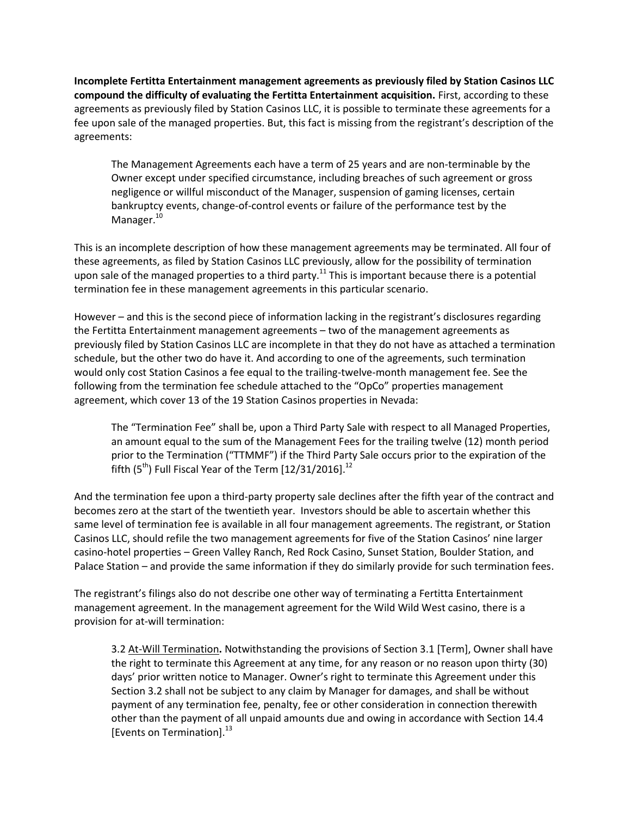**Incomplete Fertitta Entertainment management agreements as previously filed by Station Casinos LLC compound the difficulty of evaluating the Fertitta Entertainment acquisition.** First, according to these agreements as previously filed by Station Casinos LLC, it is possible to terminate these agreements for a fee upon sale of the managed properties. But, this fact is missing from the registrant's description of the agreements:

The Management Agreements each have a term of 25 years and are non-terminable by the Owner except under specified circumstance, including breaches of such agreement or gross negligence or willful misconduct of the Manager, suspension of gaming licenses, certain bankruptcy events, change-of-control events or failure of the performance test by the Manager.<sup>10</sup>

This is an incomplete description of how these management agreements may be terminated. All four of these agreements, as filed by Station Casinos LLC previously, allow for the possibility of termination upon sale of the managed properties to a third party.<sup>11</sup> This is important because there is a potential termination fee in these management agreements in this particular scenario.

However – and this is the second piece of information lacking in the registrant's disclosures regarding the Fertitta Entertainment management agreements – two of the management agreements as previously filed by Station Casinos LLC are incomplete in that they do not have as attached a termination schedule, but the other two do have it. And according to one of the agreements, such termination would only cost Station Casinos a fee equal to the trailing-twelve-month management fee. See the following from the termination fee schedule attached to the "OpCo" properties management agreement, which cover 13 of the 19 Station Casinos properties in Nevada:

The "Termination Fee" shall be, upon a Third Party Sale with respect to all Managed Properties, an amount equal to the sum of the Management Fees for the trailing twelve (12) month period prior to the Termination ("TTMMF") if the Third Party Sale occurs prior to the expiration of the fifth  $(5<sup>th</sup>)$  Full Fiscal Year of the Term  $[12/31/2016]$ .<sup>12</sup>

And the termination fee upon a third-party property sale declines after the fifth year of the contract and becomes zero at the start of the twentieth year. Investors should be able to ascertain whether this same level of termination fee is available in all four management agreements. The registrant, or Station Casinos LLC, should refile the two management agreements for five of the Station Casinos' nine larger casino-hotel properties – Green Valley Ranch, Red Rock Casino, Sunset Station, Boulder Station, and Palace Station – and provide the same information if they do similarly provide for such termination fees.

The registrant's filings also do not describe one other way of terminating a Fertitta Entertainment management agreement. In the management agreement for the Wild Wild West casino, there is a provision for at-will termination:

3.2 At-Will Termination**.** Notwithstanding the provisions of Section 3.1 [Term], Owner shall have the right to terminate this Agreement at any time, for any reason or no reason upon thirty (30) days' prior written notice to Manager. Owner's right to terminate this Agreement under this Section 3.2 shall not be subject to any claim by Manager for damages, and shall be without payment of any termination fee, penalty, fee or other consideration in connection therewith other than the payment of all unpaid amounts due and owing in accordance with Section 14.4 [Events on Termination].<sup>13</sup>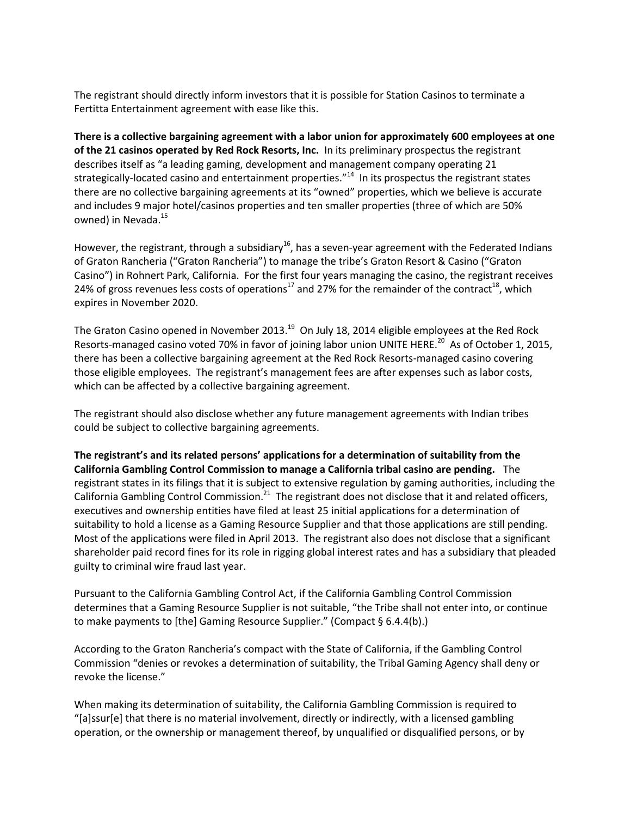The registrant should directly inform investors that it is possible for Station Casinos to terminate a Fertitta Entertainment agreement with ease like this.

**There is a collective bargaining agreement with a labor union for approximately 600 employees at one of the 21 casinos operated by Red Rock Resorts, Inc.** In its preliminary prospectus the registrant describes itself as "a leading gaming, development and management company operating 21 strategically-located casino and entertainment properties."<sup>14</sup> In its prospectus the registrant states there are no collective bargaining agreements at its "owned" properties, which we believe is accurate and includes 9 major hotel/casinos properties and ten smaller properties (three of which are 50% owned) in Nevada.<sup>15</sup>

However, the registrant, through a subsidiary<sup>16</sup>, has a seven-year agreement with the Federated Indians of Graton Rancheria ("Graton Rancheria") to manage the tribe's Graton Resort & Casino ("Graton Casino") in Rohnert Park, California. For the first four years managing the casino, the registrant receives 24% of gross revenues less costs of operations<sup>17</sup> and 27% for the remainder of the contract<sup>18</sup>, which expires in November 2020.

The Graton Casino opened in November 2013.<sup>19</sup> On July 18, 2014 eligible employees at the Red Rock Resorts-managed casino voted 70% in favor of joining labor union UNITE HERE.<sup>20</sup> As of October 1, 2015, there has been a collective bargaining agreement at the Red Rock Resorts-managed casino covering those eligible employees. The registrant's management fees are after expenses such as labor costs, which can be affected by a collective bargaining agreement.

The registrant should also disclose whether any future management agreements with Indian tribes could be subject to collective bargaining agreements.

**The registrant's and its related persons' applications for a determination of suitability from the California Gambling Control Commission to manage a California tribal casino are pending.** The registrant states in its filings that it is subject to extensive regulation by gaming authorities, including the California Gambling Control Commission.<sup>21</sup> The registrant does not disclose that it and related officers, executives and ownership entities have filed at least 25 initial applications for a determination of suitability to hold a license as a Gaming Resource Supplier and that those applications are still pending. Most of the applications were filed in April 2013. The registrant also does not disclose that a significant shareholder paid record fines for its role in rigging global interest rates and has a subsidiary that pleaded guilty to criminal wire fraud last year.

Pursuant to the California Gambling Control Act, if the California Gambling Control Commission determines that a Gaming Resource Supplier is not suitable, "the Tribe shall not enter into, or continue to make payments to [the] Gaming Resource Supplier." (Compact § 6.4.4(b).)

According to the Graton Rancheria's compact with the State of California, if the Gambling Control Commission "denies or revokes a determination of suitability, the Tribal Gaming Agency shall deny or revoke the license."

When making its determination of suitability, the California Gambling Commission is required to "[a]ssur[e] that there is no material involvement, directly or indirectly, with a licensed gambling operation, or the ownership or management thereof, by unqualified or disqualified persons, or by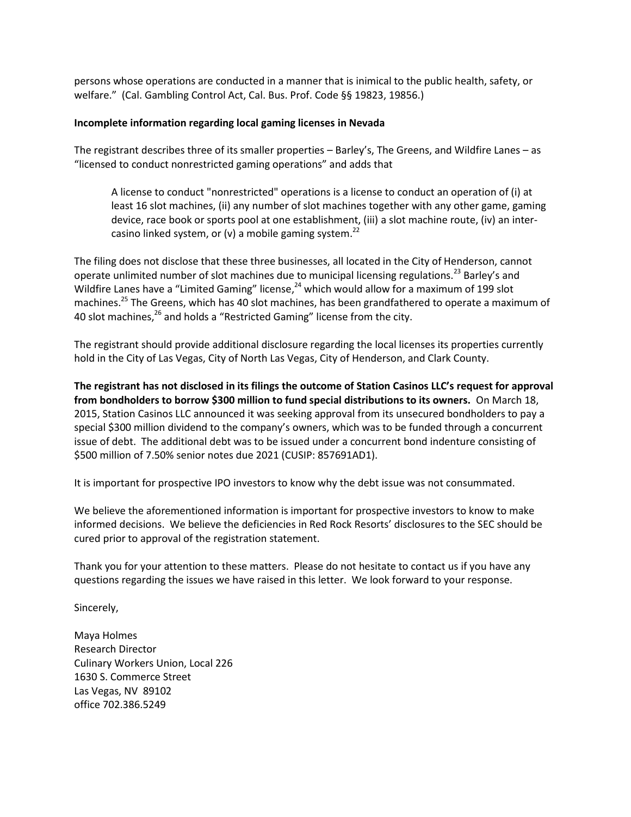persons whose operations are conducted in a manner that is inimical to the public health, safety, or welfare." (Cal. Gambling Control Act, Cal. Bus. Prof. Code §§ 19823, 19856.)

## **Incomplete information regarding local gaming licenses in Nevada**

The registrant describes three of its smaller properties – Barley's, The Greens, and Wildfire Lanes – as "licensed to conduct nonrestricted gaming operations" and adds that

A license to conduct "nonrestricted" operations is a license to conduct an operation of (i) at least 16 slot machines, (ii) any number of slot machines together with any other game, gaming device, race book or sports pool at one establishment, (iii) a slot machine route, (iv) an intercasino linked system, or (v) a mobile gaming system.<sup>22</sup>

The filing does not disclose that these three businesses, all located in the City of Henderson, cannot operate unlimited number of slot machines due to municipal licensing regulations.<sup>23</sup> Barley's and Wildfire Lanes have a "Limited Gaming" license,<sup>24</sup> which would allow for a maximum of 199 slot machines.<sup>25</sup> The Greens, which has 40 slot machines, has been grandfathered to operate a maximum of 40 slot machines, $^{26}$  and holds a "Restricted Gaming" license from the city.

The registrant should provide additional disclosure regarding the local licenses its properties currently hold in the City of Las Vegas, City of North Las Vegas, City of Henderson, and Clark County.

**The registrant has not disclosed in its filings the outcome of Station Casinos LLC's request for approval from bondholders to borrow \$300 million to fund special distributions to its owners.** On March 18, 2015, Station Casinos LLC announced it was seeking approval from its unsecured bondholders to pay a special \$300 million dividend to the company's owners, which was to be funded through a concurrent issue of debt. The additional debt was to be issued under a concurrent bond indenture consisting of \$500 million of 7.50% senior notes due 2021 (CUSIP: 857691AD1).

It is important for prospective IPO investors to know why the debt issue was not consummated.

We believe the aforementioned information is important for prospective investors to know to make informed decisions. We believe the deficiencies in Red Rock Resorts' disclosures to the SEC should be cured prior to approval of the registration statement.

Thank you for your attention to these matters. Please do not hesitate to contact us if you have any questions regarding the issues we have raised in this letter. We look forward to your response.

Sincerely,

Maya Holmes Research Director Culinary Workers Union, Local 226 1630 S. Commerce Street Las Vegas, NV 89102 office 702.386.5249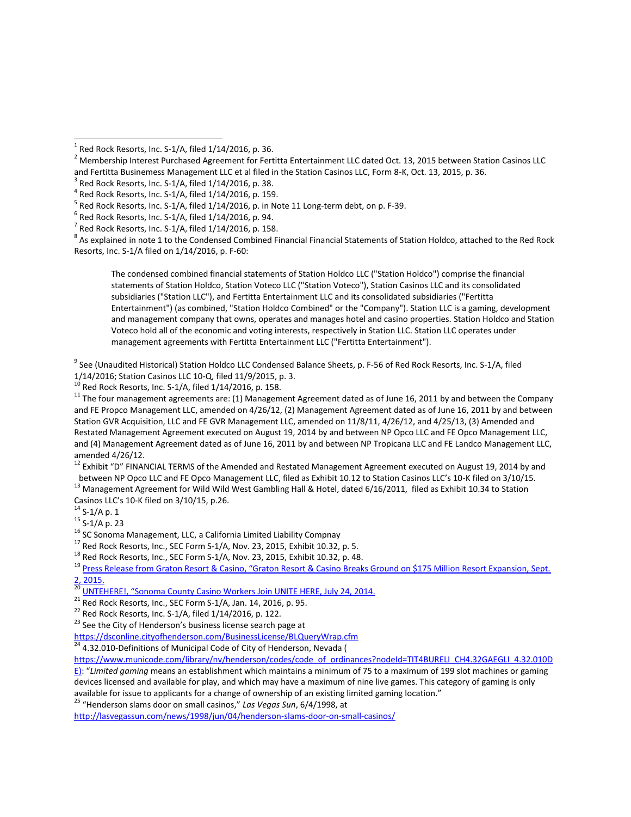$^8$  As explained in note 1 to the Condensed Combined Financial Financial Statements of Station Holdco, attached to the Red Rock Resorts, Inc. S-1/A filed on 1/14/2016, p. F-60:

The condensed combined financial statements of Station Holdco LLC ("Station Holdco") comprise the financial statements of Station Holdco, Station Voteco LLC ("Station Voteco"), Station Casinos LLC and its consolidated subsidiaries ("Station LLC"), and Fertitta Entertainment LLC and its consolidated subsidiaries ("Fertitta Entertainment") (as combined, "Station Holdco Combined" or the "Company"). Station LLC is a gaming, development and management company that owns, operates and manages hotel and casino properties. Station Holdco and Station Voteco hold all of the economic and voting interests, respectively in Station LLC. Station LLC operates under management agreements with Fertitta Entertainment LLC ("Fertitta Entertainment").

<sup>9</sup> See (Unaudited Historical) Station Holdco LLC Condensed Balance Sheets, p. F-56 of Red Rock Resorts, Inc. S-1/A, filed 1/14/2016; Station Casinos LLC 10-Q, filed 11/9/2015, p. 3.<br><sup>10</sup> Bod Basil 2.

Red Rock Resorts, Inc. S-1/A, filed 1/14/2016, p. 158.

<sup>11</sup> The four management agreements are: (1) Management Agreement dated as of June 16, 2011 by and between the Company and FE Propco Management LLC, amended on 4/26/12, (2) Management Agreement dated as of June 16, 2011 by and between Station GVR Acquisition, LLC and FE GVR Management LLC, amended on 11/8/11, 4/26/12, and 4/25/13, (3) Amended and Restated Management Agreement executed on August 19, 2014 by and between NP Opco LLC and FE Opco Management LLC, and (4) Management Agreement dated as of June 16, 2011 by and between NP Tropicana LLC and FE Landco Management LLC, amended 4/26/12.

<sup>12</sup> Exhibit "D" FINANCIAL TERMS of the Amended and Restated Management Agreement executed on August 19, 2014 by and

between NP Opco LLC and FE Opco Management LLC, filed as Exhibit 10.12 to Station Casinos LLC's 10-K filed on 3/10/15. <sup>13</sup> Management Agreement for Wild Wild West Gambling Hall & Hotel, dated 6/16/2011, filed as Exhibit 10.34 to Station Casinos LLC's 10-K filed on 3/10/15, p.26.

 $14$  S-1/A p. 1

l

<sup>17</sup> Red Rock Resorts, Inc., SEC Form S-1/A, Nov. 23, 2015, Exhibit 10.32, p. 5.

<sup>18</sup> Red Rock Resorts, Inc., SEC Form S-1/A, Nov. 23, 2015, Exhibit 10.32, p. 48.

<sup>19</sup> Press Release from Graton Resort & Casino, "Graton Resort & Casino Breaks Ground on \$175 Million Resort Expansion, Sept.  $\frac{2}{20}$ ,  $\frac{2015}{20}$ .

<sup>21</sup> Red Rock Resorts, Inc., SEC Form S-1/A, Jan. 14, 2016, p. 95.

 $22$  Red Rock Resorts, Inc. S-1/A, filed  $1/14/2016$ , p. 122.

<sup>23</sup> See the City of Henderson's business license search page at

<https://dsconline.cityofhenderson.com/BusinessLicense/BLQueryWrap.cfm><br>24 4 22 219 Pafe Wi

<sup>24</sup> 4.32.010-Definitions of Municipal Code of City of Henderson, Nevada (

[https://www.municode.com/library/nv/henderson/codes/code\\_of\\_ordinances?nodeId=TIT4BURELI\\_CH4.32GAEGLI\\_4.32.010D](https://www.municode.com/library/nv/henderson/codes/code_of_ordinances?nodeId=TIT4BURELI_CH4.32GAEGLI_4.32.010DE)

[E\)](https://www.municode.com/library/nv/henderson/codes/code_of_ordinances?nodeId=TIT4BURELI_CH4.32GAEGLI_4.32.010DE): "*Limited gaming* means an establishment which maintains a minimum of 75 to a maximum of 199 slot machines or gaming devices licensed and available for play, and which may have a maximum of nine live games. This category of gaming is only available for issue to applicants for a change of ownership of an existing limited gaming location."

<sup>25</sup> "Henderson slams door on small casinos," *Las Vegas Sun*, 6/4/1998, at

<http://lasvegassun.com/news/1998/jun/04/henderson-slams-door-on-small-casinos/>

 $^{\rm 1}$  Red Rock Resorts, Inc. S-1/A, filed 1/14/2016, p. 36.

 $^2$  Membership Interest Purchased Agreement for Fertitta Entertainment LLC dated Oct. 13, 2015 between Station Casinos LLC and Fertitta Businemess Management LLC et al filed in the Station Casinos LLC, Form 8-K, Oct. 13, 2015, p. 36.

 $3$  Red Rock Resorts, Inc. S-1/A, filed 1/14/2016, p. 38.

 $^4$  Red Rock Resorts, Inc. S-1/A, filed 1/14/2016, p. 159.

 $^5$  Red Rock Resorts, Inc. S-1/A, filed 1/14/2016, p. in Note 11 Long-term debt, on p. F-39.

 $^6$  Red Rock Resorts, Inc. S-1/A, filed 1/14/2016, p. 94.

 $^7$  Red Rock Resorts, Inc. S-1/A, filed 1/14/2016, p. 158.

 $15$  S-1/A p. 23

<sup>&</sup>lt;sup>16</sup> SC Sonoma Management, LLC, a California Limited Liability Compnay

<sup>20</sup> UNTEHERE!, ["Sonoma County Casino Workers Join UNITE HERE, July 24, 2014.](http://unitehere.org/sonoma-county-casino-workers-join-unite-here/)